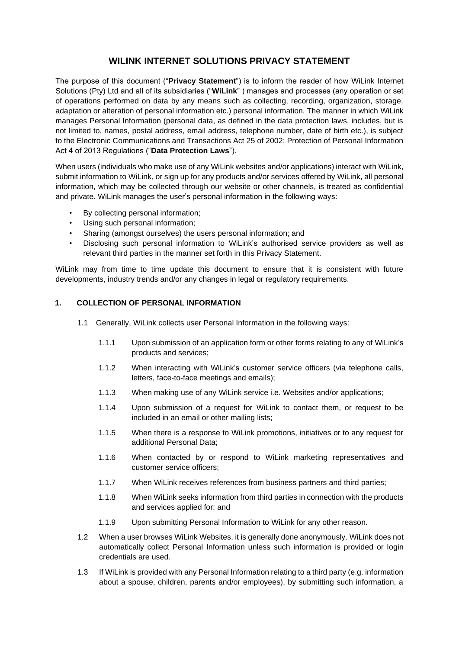# **WILINK INTERNET SOLUTIONS PRIVACY STATEMENT**

The purpose of this document ("**Privacy Statement**") is to inform the reader of how WiLink Internet Solutions (Pty) Ltd and all of its subsidiaries ("**WiLink**" ) manages and processes (any operation or set of operations performed on data by any means such as collecting, recording, organization, storage, adaptation or alteration of personal information etc.) personal information. The manner in which WiLink manages Personal Information (personal data, as defined in the data protection laws, includes, but is not limited to, names, postal address, email address, telephone number, date of birth etc.), is subject to the Electronic Communications and Transactions Act 25 of 2002; Protection of Personal Information Act 4 of 2013 Regulations ("**Data Protection Laws**").

When users (individuals who make use of any WiLink websites and/or applications) interact with WiLink, submit information to WiLink, or sign up for any products and/or services offered by WiLink, all personal information, which may be collected through our website or other channels, is treated as confidential and private. WiLink manages the user's personal information in the following ways:

- By collecting personal information;
- Using such personal information;
- Sharing (amongst ourselves) the users personal information; and
- Disclosing such personal information to WiLink's authorised service providers as well as relevant third parties in the manner set forth in this Privacy Statement.

WiLink may from time to time update this document to ensure that it is consistent with future developments, industry trends and/or any changes in legal or regulatory requirements.

# **1. COLLECTION OF PERSONAL INFORMATION**

- 1.1 Generally, WiLink collects user Personal Information in the following ways:
	- 1.1.1 Upon submission of an application form or other forms relating to any of WiLink's products and services;
	- 1.1.2 When interacting with WiLink's customer service officers (via telephone calls, letters, face-to-face meetings and emails);
	- 1.1.3 When making use of any WiLink service i.e. Websites and/or applications;
	- 1.1.4 Upon submission of a request for WiLink to contact them, or request to be included in an email or other mailing lists;
	- 1.1.5 When there is a response to WiLink promotions, initiatives or to any request for additional Personal Data;
	- 1.1.6 When contacted by or respond to WiLink marketing representatives and customer service officers;
	- 1.1.7 When WiLink receives references from business partners and third parties;
	- 1.1.8 When WiLink seeks information from third parties in connection with the products and services applied for; and
	- 1.1.9 Upon submitting Personal Information to WiLink for any other reason.
- 1.2 When a user browses WiLink Websites, it is generally done anonymously. WiLink does not automatically collect Personal Information unless such information is provided or login credentials are used.
- 1.3 If WiLink is provided with any Personal Information relating to a third party (e.g. information about a spouse, children, parents and/or employees), by submitting such information, a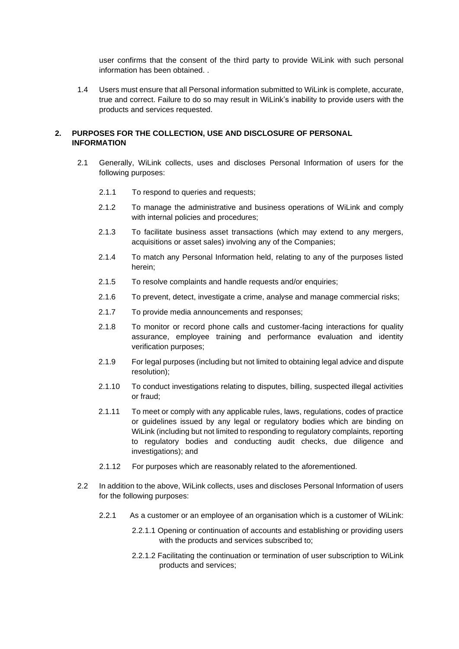user confirms that the consent of the third party to provide WiLink with such personal information has been obtained.

1.4 Users must ensure that all Personal information submitted to WiLink is complete, accurate, true and correct. Failure to do so may result in WiLink's inability to provide users with the products and services requested.

## **2. PURPOSES FOR THE COLLECTION, USE AND DISCLOSURE OF PERSONAL INFORMATION**

- 2.1 Generally, WiLink collects, uses and discloses Personal Information of users for the following purposes:
	- 2.1.1 To respond to queries and requests:
	- 2.1.2 To manage the administrative and business operations of WiLink and comply with internal policies and procedures;
	- 2.1.3 To facilitate business asset transactions (which may extend to any mergers, acquisitions or asset sales) involving any of the Companies;
	- 2.1.4 To match any Personal Information held, relating to any of the purposes listed herein;
	- 2.1.5 To resolve complaints and handle requests and/or enquiries;
	- 2.1.6 To prevent, detect, investigate a crime, analyse and manage commercial risks;
	- 2.1.7 To provide media announcements and responses;
	- 2.1.8 To monitor or record phone calls and customer-facing interactions for quality assurance, employee training and performance evaluation and identity verification purposes;
	- 2.1.9 For legal purposes (including but not limited to obtaining legal advice and dispute resolution);
	- 2.1.10 To conduct investigations relating to disputes, billing, suspected illegal activities or fraud;
	- 2.1.11 To meet or comply with any applicable rules, laws, regulations, codes of practice or guidelines issued by any legal or regulatory bodies which are binding on WiLink (including but not limited to responding to regulatory complaints, reporting to regulatory bodies and conducting audit checks, due diligence and investigations); and
	- 2.1.12 For purposes which are reasonably related to the aforementioned.
- 2.2 In addition to the above, WiLink collects, uses and discloses Personal Information of users for the following purposes:
	- 2.2.1 As a customer or an employee of an organisation which is a customer of WiLink:
		- 2.2.1.1 Opening or continuation of accounts and establishing or providing users with the products and services subscribed to;
		- 2.2.1.2 Facilitating the continuation or termination of user subscription to WiLink products and services;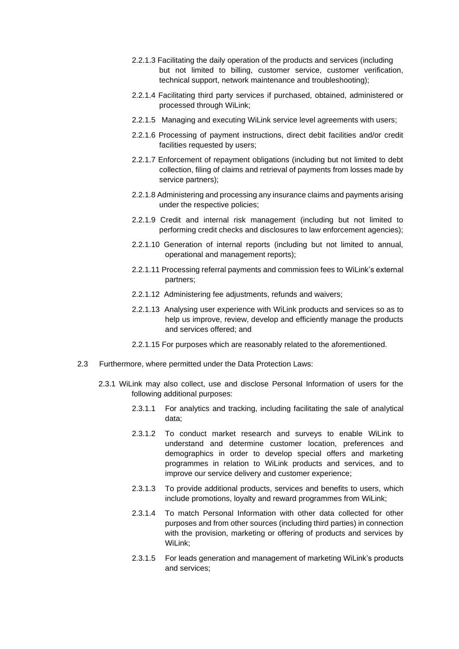- 2.2.1.3 Facilitating the daily operation of the products and services (including but not limited to billing, customer service, customer verification, technical support, network maintenance and troubleshooting);
- 2.2.1.4 Facilitating third party services if purchased, obtained, administered or processed through WiLink;
- 2.2.1.5 Managing and executing WiLink service level agreements with users;
- 2.2.1.6 Processing of payment instructions, direct debit facilities and/or credit facilities requested by users;
- 2.2.1.7 Enforcement of repayment obligations (including but not limited to debt collection, filing of claims and retrieval of payments from losses made by service partners);
- 2.2.1.8 Administering and processing any insurance claims and payments arising under the respective policies;
- 2.2.1.9 Credit and internal risk management (including but not limited to performing credit checks and disclosures to law enforcement agencies);
- 2.2.1.10 Generation of internal reports (including but not limited to annual, operational and management reports);
- 2.2.1.11 Processing referral payments and commission fees to WiLink's external partners;
- 2.2.1.12 Administering fee adjustments, refunds and waivers;
- 2.2.1.13 Analysing user experience with WiLink products and services so as to help us improve, review, develop and efficiently manage the products and services offered; and
- 2.2.1.15 For purposes which are reasonably related to the aforementioned.
- 2.3 Furthermore, where permitted under the Data Protection Laws:
	- 2.3.1 WiLink may also collect, use and disclose Personal Information of users for the following additional purposes:
		- 2.3.1.1 For analytics and tracking, including facilitating the sale of analytical data;
		- 2.3.1.2 To conduct market research and surveys to enable WiLink to understand and determine customer location, preferences and demographics in order to develop special offers and marketing programmes in relation to WiLink products and services, and to improve our service delivery and customer experience;
		- 2.3.1.3 To provide additional products, services and benefits to users, which include promotions, loyalty and reward programmes from WiLink;
		- 2.3.1.4 To match Personal Information with other data collected for other purposes and from other sources (including third parties) in connection with the provision, marketing or offering of products and services by WiLink;
		- 2.3.1.5 For leads generation and management of marketing WiLink's products and services;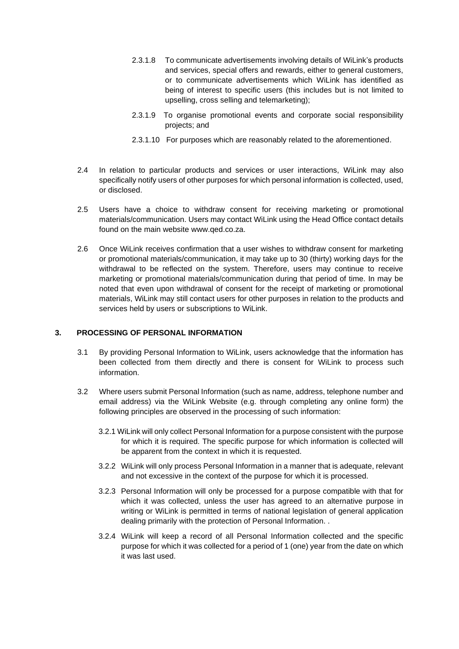- 2.3.1.8 To communicate advertisements involving details of WiLink's products and services, special offers and rewards, either to general customers, or to communicate advertisements which WiLink has identified as being of interest to specific users (this includes but is not limited to upselling, cross selling and telemarketing);
- 2.3.1.9 To organise promotional events and corporate social responsibility projects; and
- 2.3.1.10 For purposes which are reasonably related to the aforementioned.
- 2.4 In relation to particular products and services or user interactions, WiLink may also specifically notify users of other purposes for which personal information is collected, used, or disclosed.
- 2.5 Users have a choice to withdraw consent for receiving marketing or promotional materials/communication. Users may contact WiLink using the Head Office contact details found on the main website www.qed.co.za.
- 2.6 Once WiLink receives confirmation that a user wishes to withdraw consent for marketing or promotional materials/communication, it may take up to 30 (thirty) working days for the withdrawal to be reflected on the system. Therefore, users may continue to receive marketing or promotional materials/communication during that period of time. In may be noted that even upon withdrawal of consent for the receipt of marketing or promotional materials, WiLink may still contact users for other purposes in relation to the products and services held by users or subscriptions to WiLink.

#### **3. PROCESSING OF PERSONAL INFORMATION**

- 3.1 By providing Personal Information to WiLink, users acknowledge that the information has been collected from them directly and there is consent for WiLink to process such information.
- 3.2 Where users submit Personal Information (such as name, address, telephone number and email address) via the WiLink Website (e.g. through completing any online form) the following principles are observed in the processing of such information:
	- 3.2.1 WiLink will only collect Personal Information for a purpose consistent with the purpose for which it is required. The specific purpose for which information is collected will be apparent from the context in which it is requested.
	- 3.2.2 WiLink will only process Personal Information in a manner that is adequate, relevant and not excessive in the context of the purpose for which it is processed.
	- 3.2.3 Personal Information will only be processed for a purpose compatible with that for which it was collected, unless the user has agreed to an alternative purpose in writing or WiLink is permitted in terms of national legislation of general application dealing primarily with the protection of Personal Information. .
	- 3.2.4 WiLink will keep a record of all Personal Information collected and the specific purpose for which it was collected for a period of 1 (one) year from the date on which it was last used.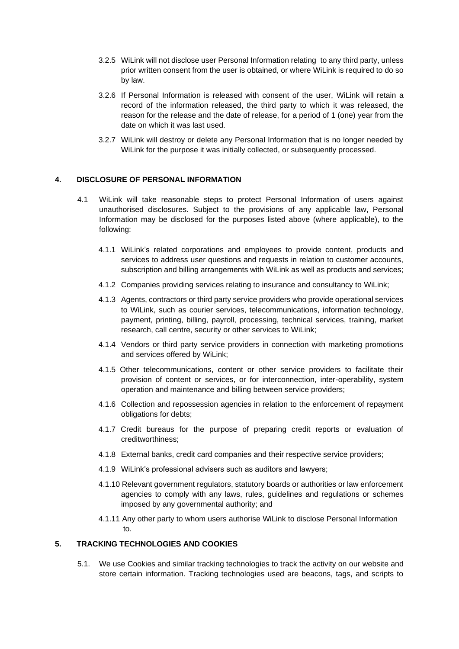- 3.2.5 WiLink will not disclose user Personal Information relating to any third party, unless prior written consent from the user is obtained, or where WiLink is required to do so by law.
- 3.2.6 If Personal Information is released with consent of the user, WiLink will retain a record of the information released, the third party to which it was released, the reason for the release and the date of release, for a period of 1 (one) year from the date on which it was last used.
- 3.2.7 WiLink will destroy or delete any Personal Information that is no longer needed by WiLink for the purpose it was initially collected, or subsequently processed.

#### **4. DISCLOSURE OF PERSONAL INFORMATION**

- 4.1 WiLink will take reasonable steps to protect Personal Information of users against unauthorised disclosures. Subject to the provisions of any applicable law, Personal Information may be disclosed for the purposes listed above (where applicable), to the following:
	- 4.1.1 WiLink's related corporations and employees to provide content, products and services to address user questions and requests in relation to customer accounts, subscription and billing arrangements with WiLink as well as products and services;
	- 4.1.2 Companies providing services relating to insurance and consultancy to WiLink;
	- 4.1.3 Agents, contractors or third party service providers who provide operational services to WiLink, such as courier services, telecommunications, information technology, payment, printing, billing, payroll, processing, technical services, training, market research, call centre, security or other services to WiLink;
	- 4.1.4 Vendors or third party service providers in connection with marketing promotions and services offered by WiLink;
	- 4.1.5 Other telecommunications, content or other service providers to facilitate their provision of content or services, or for interconnection, inter-operability, system operation and maintenance and billing between service providers;
	- 4.1.6 Collection and repossession agencies in relation to the enforcement of repayment obligations for debts;
	- 4.1.7 Credit bureaus for the purpose of preparing credit reports or evaluation of creditworthiness;
	- 4.1.8 External banks, credit card companies and their respective service providers;
	- 4.1.9 WiLink's professional advisers such as auditors and lawyers;
	- 4.1.10 Relevant government regulators, statutory boards or authorities or law enforcement agencies to comply with any laws, rules, guidelines and regulations or schemes imposed by any governmental authority; and
	- 4.1.11 Any other party to whom users authorise WiLink to disclose Personal Information to.

# **5. TRACKING TECHNOLOGIES AND COOKIES**

5.1. We use Cookies and similar tracking technologies to track the activity on our website and store certain information. Tracking technologies used are beacons, tags, and scripts to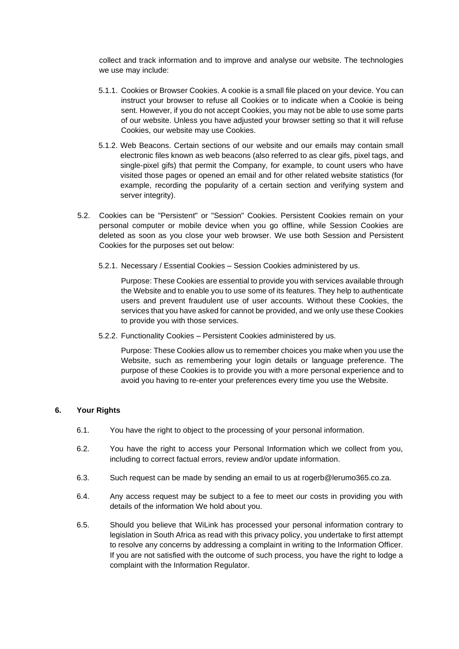collect and track information and to improve and analyse our website. The technologies we use may include:

- 5.1.1. Cookies or Browser Cookies. A cookie is a small file placed on your device. You can instruct your browser to refuse all Cookies or to indicate when a Cookie is being sent. However, if you do not accept Cookies, you may not be able to use some parts of our website. Unless you have adjusted your browser setting so that it will refuse Cookies, our website may use Cookies.
- 5.1.2. Web Beacons. Certain sections of our website and our emails may contain small electronic files known as web beacons (also referred to as clear gifs, pixel tags, and single-pixel gifs) that permit the Company, for example, to count users who have visited those pages or opened an email and for other related website statistics (for example, recording the popularity of a certain section and verifying system and server integrity).
- 5.2. Cookies can be "Persistent" or "Session" Cookies. Persistent Cookies remain on your personal computer or mobile device when you go offline, while Session Cookies are deleted as soon as you close your web browser. We use both Session and Persistent Cookies for the purposes set out below:
	- 5.2.1. Necessary / Essential Cookies Session Cookies administered by us.

Purpose: These Cookies are essential to provide you with services available through the Website and to enable you to use some of its features. They help to authenticate users and prevent fraudulent use of user accounts. Without these Cookies, the services that you have asked for cannot be provided, and we only use these Cookies to provide you with those services.

5.2.2. Functionality Cookies – Persistent Cookies administered by us.

Purpose: These Cookies allow us to remember choices you make when you use the Website, such as remembering your login details or language preference. The purpose of these Cookies is to provide you with a more personal experience and to avoid you having to re-enter your preferences every time you use the Website.

#### **6. Your Rights**

- 6.1. You have the right to object to the processing of your personal information.
- 6.2. You have the right to access your Personal Information which we collect from you, including to correct factual errors, review and/or update information.
- 6.3. Such request can be made by sending an email to us at rogerb@lerumo365.co.za.
- 6.4. Any access request may be subject to a fee to meet our costs in providing you with details of the information We hold about you.
- 6.5. Should you believe that WiLink has processed your personal information contrary to legislation in South Africa as read with this privacy policy, you undertake to first attempt to resolve any concerns by addressing a complaint in writing to the Information Officer. If you are not satisfied with the outcome of such process, you have the right to lodge a complaint with the Information Regulator.